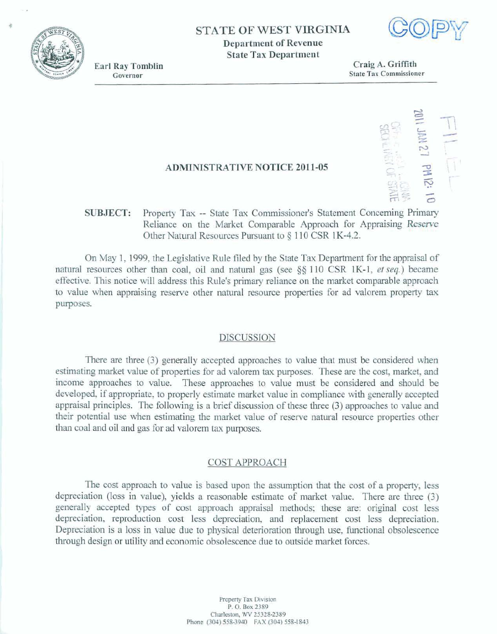ë

**STATE OF WEST VIRGINIA** 

**Department of Revenue State Tax Department** 

**Earl Ray Tomblin** Governor

Craig A. Griffith **State Tax Commissioner** 

## **ADMINISTRATIVE NOTICE 2011-05**

#### Property Tax -- State Tax Commissioner's Statement Concerning Primary **SUBJECT:** Reliance on the Market Comparable Approach for Appraising Reserve Other Natural Resources Pursuant to § 110 CSR 1K-4.2.

On May 1, 1999, the Legislative Rule filed by the State Tax Department for the appraisal of natural resources other than coal, oil and natural gas (see §§ 110 CSR 1K-1, et seq.) became effective. This notice will address this Rule's primary reliance on the market comparable approach to value when appraising reserve other natural resource properties for ad valorem property tax purposes.

## **DISCUSSION**

There are three (3) generally accepted approaches to value that must be considered when estimating market value of properties for ad valorem tax purposes. These are the cost, market, and income approaches to value. These approaches to value must be considered and should be developed, if appropriate, to properly estimate market value in compliance with generally accepted appraisal principles. The following is a brief discussion of these three (3) approaches to value and their potential use when estimating the market value of reserve natural resource properties other than coal and oil and gas for ad valorem tax purposes.

## **COST APPROACH**

The cost approach to value is based upon the assumption that the cost of a property, less depreciation (loss in value), yields a reasonable estimate of market value. There are three (3) generally accepted types of cost approach appraisal methods; these are: original cost less depreciation, reproduction cost less depreciation, and replacement cost less depreciation. Depreciation is a loss in value due to physical deterioration through use, functional obsolescence through design or utility and economic obsolescence due to outside market forces.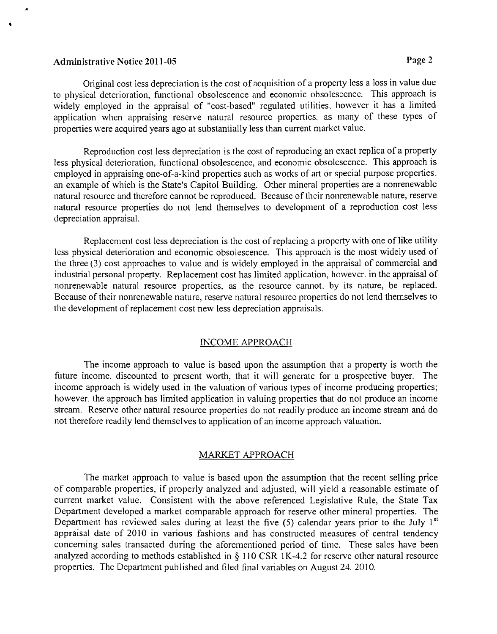# Administrative Notice 2011-05 **Page 2**

Original cost less depreciation is the cost of acquisition of a property less a loss in value due to physical deterioration, functional obsolescence and economic obsolescence. This approach is widely employed in the appraisal of "cost-based" regulated utilities, however it has a limited application whcn appraising reserve natural resource properties. as many of these types of properties \yere acquired years ago at substantially less than current market value.

Reproduction cost less depreciation is the cost of reproducing an exact replica of a property less physical deterioration, functional obsolescence, and economic obsolescence. This approach is employed in appraising one-of-a-kind properties such as works of art or special purpose properties. an example of which is the State's Capitol Building. Other mineral properties are a nonrenewable natural resource and therefore cannot be reproduced. Because of their nonrenewable nature, reserve natural resource properties do not lend themselves to development of a reproduction cost less depreciation appraisal.

Replacement cost less depreciation is the cost of replacing a property with one of like utility less physical deterioration and economic obsolescence. This approach is the most widely used of the three (3) cost approaches to value and is widely employed in the appraisal of commercial and industrial personal property. Replacement cost has limited application, however. in the appraisal of nonrenewable natural resource properties. as the resource cannot. by its nature, be replaced. Because of their nonrenewable nature, reserve natural resource properties do not lend themselves to the development of replacement cost new less depreciation appraisals.

#### INCOME APPROACH

The income approach to value is based upon the assumption that a property is worth the future income. discounted to present worth, that it will generate for a prospective buyer. The income approach is widely used in the valuation of various types of income producing properties; however. the approach has limited application in valuing properties that do not produce an income stream. Reserve other natural resource properties do not readily produce an income stream and do not therefore readily lend themselves to application of an income approach valuation.

## MARKET APPROACH

The market approach to value is based upon the assumption that the recent selling price of comparable properties, if properly analyzed and adjusted, will yield a reasonable estimate of current market value. Consistent with the above referenced Legislative Rule, the State Tax Department developed a market comparable approach for reserve other mineral properties. The Department has reviewed sales during at least the five  $(5)$  calendar years prior to the July 1<sup>st</sup> appraisal date of 2010 in various fashions and has constructed measures of central tendency concerning sales transacted during the aforementioned period of time. These sales have been analyzed according to methods established in  $\S$  110 CSR 1K-4.2 for reserve other natural resource properties. The Department published and filed final variables on August 24. 2010.